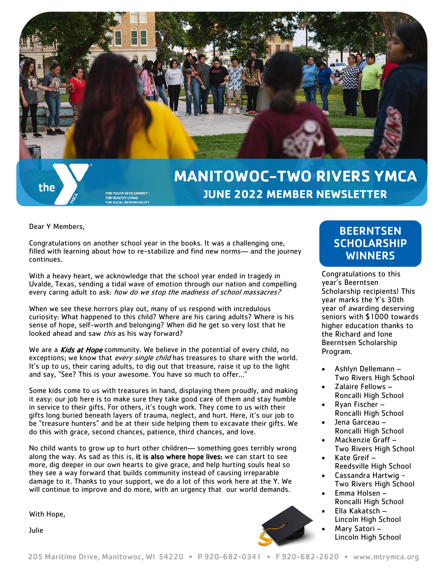

# **MANITOWOC-TWO RIVERS YMCA JUNE 2022 MEMBER NEWSLETTER**

Dear Y Members,

the

Congratulations on another school year in the books. It was a challenging one, filled with learning about how to re-stabilize and find new norms— and the journey continues.

With a heavy heart, we acknowledge that the school year ended in tragedy in Uvalde, Texas, sending a tidal wave of emotion through our nation and compelling every caring adult to ask: how do we stop the madness of school massacres?

When we see these horrors play out, many of us respond with incredulous curiosity: What happened to this child? Where are his caring adults? Where is his sense of hope, self-worth and belonging? When did he get so very lost that he looked ahead and saw *this* as his way forward?

We are a Kids at Hope community. We believe in the potential of every child, no exceptions; we know that every single child has treasures to share with the world. It's up to us, their caring adults, to dig out that treasure, raise it up to the light and say, "See? This is your awesome. You have so much to offer…"

Some kids come to us with treasures in hand, displaying them proudly, and making it easy: our job here is to make sure they take good care of them and stay humble in service to their gifts. For others, it's tough work. They come to us with their gifts long buried beneath layers of trauma, neglect, and hurt. Here, it's our job to be "treasure hunters" and be at their side helping them to excavate their gifts. We do this with grace, second chances, patience, third chances, and love.

No child wants to grow up to hurt other children— something goes terribly wrong along the way. As sad as this is, it is also where hope lives: we can start to see more, dig deeper in our own hearts to give grace, and help hurting souls heal so they see a way forward that builds community instead of causing irreparable damage to it. Thanks to your support, we do a lot of this work here at the Y. We will continue to improve and do more, with an urgency that our world demands.

With Hope,

Julie

### **BEERNTSEN SCHOLARSHIP WINNERS**

Congratulations to this year's Beerntsen Scholarship recipients! This year marks the Y's 30th year of awarding deserving seniors with \$1000 towards higher education thanks to the Richard and Ione Beerntsen Scholarship Program.

- Ashlyn Dellemann Two Rivers High School
- Zalaire Fellows Roncalli High School
- Ryan Fischer Roncalli High School
- Jena Garceau Roncalli High School
- Mackenzie Graff Two Rivers High School
- Kate Greif Reedsville High School
- Cassandra Hartwig Two Rivers High School
- Emma Holsen Roncalli High School
- Ella Kakatsch Lincoln High School
	- Mary Satori Lincoln High School